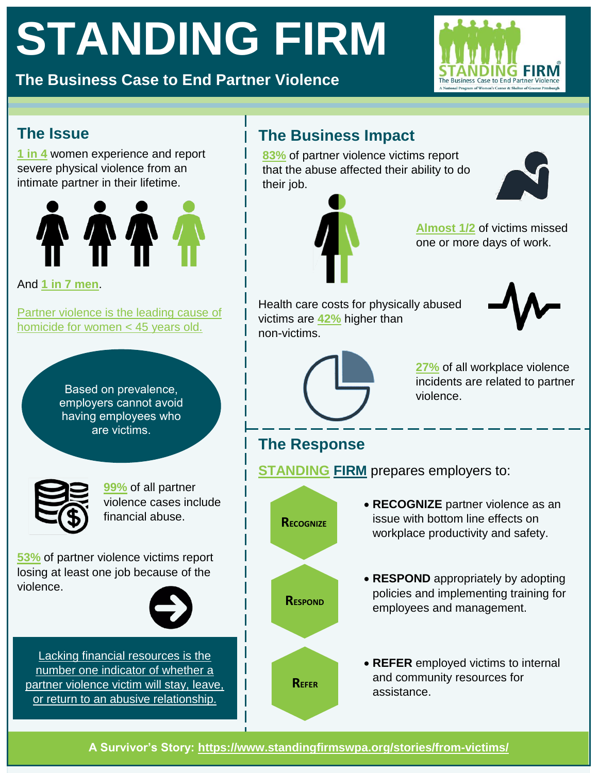# **STANDING FIRM**

**The Business Case to End Partner Violence**



#### **The Issue**

**[1 in 4](https://www.cdc.gov/violenceprevention/pdf/ipv-factsheet508.pdf)** women experience and report severe physical violence from an intimate partner in their lifetime.



And **[1 in 7 men](https://www.cdc.gov/violenceprevention/pdf/ipv-factsheet508.pdf)**.

[Partner violence is the leading cause of](https://www.cdc.gov/mmwr/volumes/66/wr/mm6628a1.htm)  [homicide for women < 45 years old.](https://www.cdc.gov/mmwr/volumes/66/wr/mm6628a1.htm)

> Based on prevalence, employers cannot avoid having employees who are victims.



**[99%](https://www.purplepurse.com/tools/research.aspx)** of all partner violence cases include financial abuse.

**[53%](https://iwpr.org/wp-content/uploads/2018/10/C474_IWPR-Report-Dreams-Deferred.pdf)** of partner violence victims report losing at least one job because of the violence.



[Lacking financial resources is the](https://www.theatlantic.com/sponsored/allstate/how-money-traps-victims-of-domestic-violence/750/)  [number one indicator of whether a](https://www.theatlantic.com/sponsored/allstate/how-money-traps-victims-of-domestic-violence/750/)  [partner violence victim will stay, leave,](https://www.theatlantic.com/sponsored/allstate/how-money-traps-victims-of-domestic-violence/750/)  or return to [an abusive relationship.](https://www.theatlantic.com/sponsored/allstate/how-money-traps-victims-of-domestic-violence/750/)

#### **The Business Impact**

**[83%](https://iwpr.org/wp-content/uploads/2018/10/C474_IWPR-Report-Dreams-Deferred.pdf)** of partner violence victims report that the abuse affected their ability to do their job.





**[Almost 1/2](https://iwpr.org/wp-content/uploads/2018/10/C474_IWPR-Report-Dreams-Deferred.pdf)** of victims missed one or more days of work.

Health care costs for physically abused victims are **[42%](https://www.ncbi.nlm.nih.gov/pmc/articles/PMC2699921/)** higher than non-victims.



**[27%](https://www.dol.gov/agencies/oasam/human-resources-center/policies/workplace-violence-program)** of all workplace violence incidents are related to partner violence.

## **The Response**

**STANDING FIRM** prepares employers to:

 **RECOGNIZE** partner violence as an issue with bottom line effects on workplace productivity and safety. **RESPOND** appropriately by adopting policies and implementing training for employees and management. **REFER** employed victims to internal and community resources for assistance. **RECOGNIZE RESPOND REFER**

**A Survivor's Story:<https://www.standingfirmswpa.org/stories/from-victims/>**